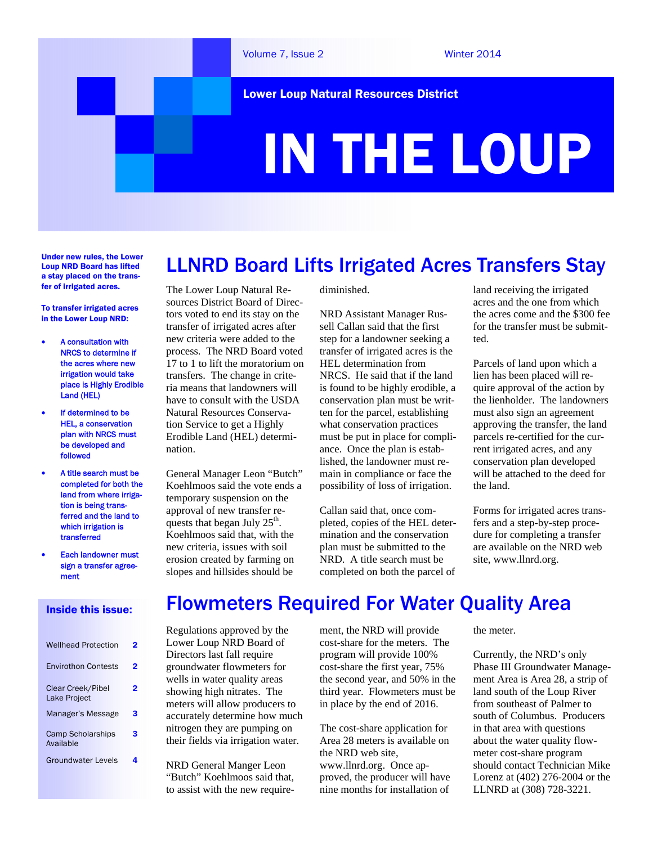

Under new rules, the Lower Loup NRD Board has lifted a stay placed on the transfer of irrigated acres.

To transfer irrigated acres in the Lower Loup NRD:

- A consultation with NRCS to determine if the acres where new irrigation would take place is Highly Erodible Land (HEL)
- If determined to be HEL, a conservation plan with NRCS must be developed and followed
- A title search must be completed for both the land from where irrigation is being transferred and the land to which irrigation is transferred
- Each landowner must sign a transfer agreement

#### Inside this issue:

| <b>Wellhead Protection</b>               | פ |
|------------------------------------------|---|
| <b>Envirothon Contests</b>               | 2 |
| Clear Creek/Pibel<br><b>Lake Project</b> |   |
| Manager's Message                        | 3 |
| <b>Camp Scholarships</b><br>Available    | 3 |
| Groundwater Levels                       |   |

The Lower Loup Natural Resources District Board of Directors voted to end its stay on the transfer of irrigated acres after new criteria were added to the process. The NRD Board voted 17 to 1 to lift the moratorium on transfers. The change in criteria means that landowners will have to consult with the USDA Natural Resources Conservation Service to get a Highly Erodible Land (HEL) determination.

General Manager Leon "Butch" Koehlmoos said the vote ends a temporary suspension on the approval of new transfer requests that began July  $25<sup>th</sup>$ . Koehlmoos said that, with the new criteria, issues with soil erosion created by farming on slopes and hillsides should be

diminished.

NRD Assistant Manager Russell Callan said that the first step for a landowner seeking a transfer of irrigated acres is the HEL determination from NRCS. He said that if the land is found to be highly erodible, a conservation plan must be written for the parcel, establishing what conservation practices must be put in place for compliance. Once the plan is established, the landowner must remain in compliance or face the possibility of loss of irrigation.

LLNRD Board Lifts Irrigated Acres Transfers Stay

Callan said that, once completed, copies of the HEL determination and the conservation plan must be submitted to the NRD. A title search must be completed on both the parcel of

land receiving the irrigated acres and the one from which the acres come and the \$300 fee for the transfer must be submitted.

Parcels of land upon which a lien has been placed will require approval of the action by the lienholder. The landowners must also sign an agreement approving the transfer, the land parcels re-certified for the current irrigated acres, and any conservation plan developed will be attached to the deed for the land.

Forms for irrigated acres transfers and a step-by-step procedure for completing a transfer are available on the NRD web site, www.llnrd.org.

### Flowmeters Required For Water Quality Area Regulations approved by the ment, the NRD will provide cost-share for the meters. The

Lower Loup NRD Board of Directors last fall require groundwater flowmeters for wells in water quality areas showing high nitrates. The meters will allow producers to accurately determine how much nitrogen they are pumping on

NRD General Manger Leon "Butch" Koehlmoos said that, to assist with the new require-

their fields via irrigation water.

program will provide 100% cost-share the first year, 75% the second year, and 50% in the third year. Flowmeters must be in place by the end of 2016.

The cost-share application for Area 28 meters is available on the NRD web site, www.llnrd.org. Once approved, the producer will have nine months for installation of

the meter.

Currently, the NRD's only Phase III Groundwater Management Area is Area 28, a strip of land south of the Loup River from southeast of Palmer to south of Columbus. Producers in that area with questions about the water quality flowmeter cost-share program should contact Technician Mike Lorenz at (402) 276-2004 or the LLNRD at (308) 728-3221.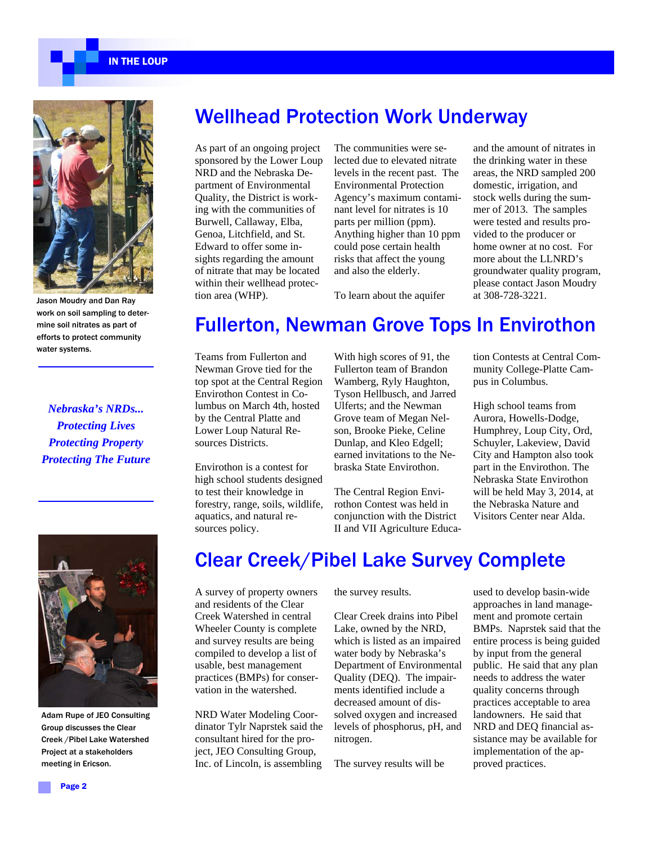IN THE LOUP



Jason Moudry and Dan Ray work on soil sampling to determine soil nitrates as part of efforts to protect community water systems.

*Nebraska's NRDs... Protecting Lives Protecting Property Protecting The Future* 



Adam Rupe of JEO Consulting Group discusses the Clear Creek /Pibel Lake Watershed Project at a stakeholders meeting in Ericson.

### Wellhead Protection Work Underway

As part of an ongoing project sponsored by the Lower Loup NRD and the Nebraska Department of Environmental Quality, the District is working with the communities of Burwell, Callaway, Elba, Genoa, Litchfield, and St. Edward to offer some insights regarding the amount of nitrate that may be located within their wellhead protection area (WHP).

The communities were selected due to elevated nitrate levels in the recent past. The Environmental Protection Agency's maximum contaminant level for nitrates is 10 parts per million (ppm). Anything higher than 10 ppm could pose certain health risks that affect the young and also the elderly.

and the amount of nitrates in the drinking water in these areas, the NRD sampled 200 domestic, irrigation, and stock wells during the summer of 2013. The samples were tested and results provided to the producer or home owner at no cost. For more about the LLNRD's groundwater quality program, please contact Jason Moudry at 308-728-3221.

To learn about the aquifer

# Fullerton, Newman Grove Tops In Envirothon

Teams from Fullerton and Newman Grove tied for the top spot at the Central Region Envirothon Contest in Columbus on March 4th, hosted by the Central Platte and Lower Loup Natural Resources Districts.

Envirothon is a contest for high school students designed to test their knowledge in forestry, range, soils, wildlife, aquatics, and natural resources policy.

With high scores of 91, the Fullerton team of Brandon Wamberg, Ryly Haughton, Tyson Hellbusch, and Jarred Ulferts; and the Newman Grove team of Megan Nelson, Brooke Pieke, Celine Dunlap, and Kleo Edgell; earned invitations to the Nebraska State Envirothon.

The Central Region Envirothon Contest was held in conjunction with the District II and VII Agriculture Educa-

tion Contests at Central Community College-Platte Campus in Columbus.

High school teams from Aurora, Howells-Dodge, Humphrey, Loup City, Ord, Schuyler, Lakeview, David City and Hampton also took part in the Envirothon. The Nebraska State Envirothon will be held May 3, 2014, at the Nebraska Nature and Visitors Center near Alda.

# Clear Creek/Pibel Lake Survey Complete

A survey of property owners and residents of the Clear Creek Watershed in central Wheeler County is complete and survey results are being compiled to develop a list of usable, best management practices (BMPs) for conservation in the watershed.

NRD Water Modeling Coordinator Tylr Naprstek said the consultant hired for the project, JEO Consulting Group, Inc. of Lincoln, is assembling

the survey results.

Clear Creek drains into Pibel Lake, owned by the NRD, which is listed as an impaired water body by Nebraska's Department of Environmental Quality (DEQ). The impairments identified include a decreased amount of dissolved oxygen and increased levels of phosphorus, pH, and nitrogen.

The survey results will be

used to develop basin-wide approaches in land management and promote certain BMPs. Naprstek said that the entire process is being guided by input from the general public. He said that any plan needs to address the water quality concerns through practices acceptable to area landowners. He said that NRD and DEQ financial assistance may be available for implementation of the approved practices.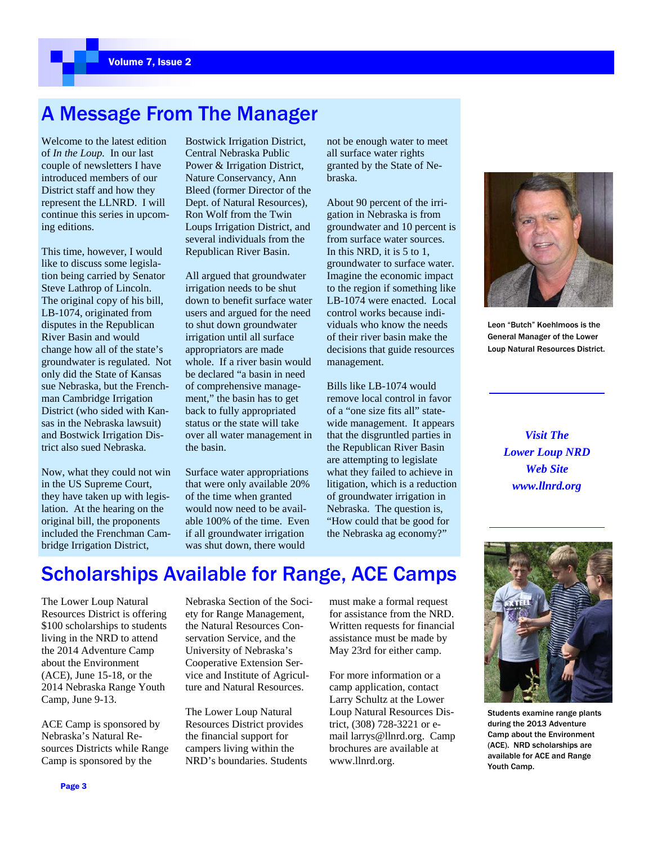# A Message From The Manager

Welcome to the latest edition of *In the Loup.* In our last couple of newsletters I have introduced members of our District staff and how they represent the LLNRD. I will continue this series in upcoming editions.

This time, however, I would like to discuss some legislation being carried by Senator Steve Lathrop of Lincoln. The original copy of his bill, LB-1074, originated from disputes in the Republican River Basin and would change how all of the state's groundwater is regulated. Not only did the State of Kansas sue Nebraska, but the Frenchman Cambridge Irrigation District (who sided with Kansas in the Nebraska lawsuit) and Bostwick Irrigation District also sued Nebraska.

Now, what they could not win in the US Supreme Court, they have taken up with legislation. At the hearing on the original bill, the proponents included the Frenchman Cambridge Irrigation District,

Bostwick Irrigation District, Central Nebraska Public Power & Irrigation District, Nature Conservancy, Ann Bleed (former Director of the Dept. of Natural Resources), Ron Wolf from the Twin Loups Irrigation District, and several individuals from the Republican River Basin.

All argued that groundwater irrigation needs to be shut down to benefit surface water users and argued for the need to shut down groundwater irrigation until all surface appropriators are made whole. If a river basin would be declared "a basin in need of comprehensive management," the basin has to get back to fully appropriated status or the state will take over all water management in the basin.

Surface water appropriations that were only available 20% of the time when granted would now need to be available 100% of the time. Even if all groundwater irrigation was shut down, there would

not be enough water to meet all surface water rights granted by the State of Nebraska.

About 90 percent of the irrigation in Nebraska is from groundwater and 10 percent is from surface water sources. In this NRD, it is 5 to 1, groundwater to surface water. Imagine the economic impact to the region if something like LB-1074 were enacted. Local control works because individuals who know the needs of their river basin make the decisions that guide resources management.

Bills like LB-1074 would remove local control in favor of a "one size fits all" statewide management. It appears that the disgruntled parties in the Republican River Basin are attempting to legislate what they failed to achieve in litigation, which is a reduction of groundwater irrigation in Nebraska. The question is, "How could that be good for the Nebraska ag economy?"



Leon "Butch" Koehlmoos is the General Manager of the Lower Loup Natural Resources District.

*Visit The Lower Loup NRD Web Site www.llnrd.org* 



Students examine range plants during the 2013 Adventure Camp about the Environment (ACE). NRD scholarships are available for ACE and Range Youth Camp.

# Scholarships Available for Range, ACE Camps

The Lower Loup Natural Resources District is offering \$100 scholarships to students living in the NRD to attend the 2014 Adventure Camp about the Environment (ACE), June 15-18, or the 2014 Nebraska Range Youth Camp, June 9-13.

ACE Camp is sponsored by Nebraska's Natural Resources Districts while Range Camp is sponsored by the

Nebraska Section of the Society for Range Management, the Natural Resources Conservation Service, and the University of Nebraska's Cooperative Extension Service and Institute of Agriculture and Natural Resources.

The Lower Loup Natural Resources District provides the financial support for campers living within the NRD's boundaries. Students must make a formal request for assistance from the NRD. Written requests for financial assistance must be made by May 23rd for either camp.

For more information or a camp application, contact Larry Schultz at the Lower Loup Natural Resources District, (308) 728-3221 or email larrys@llnrd.org. Camp brochures are available at www.llnrd.org.